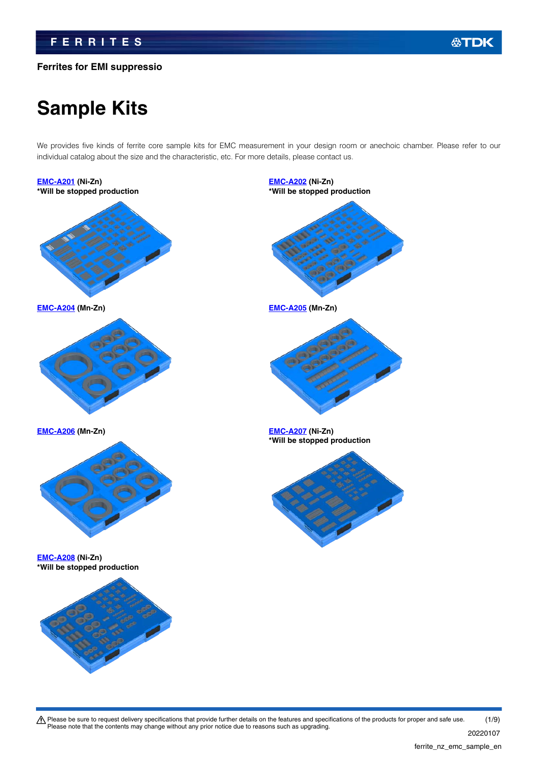# **Ferrites for EMI suppressio**

# **Sample Kits**

We provides five kinds of ferrite core sample kits for EMC measurement in your design room or anechoic chamber. Please refer to our individual catalog about the size and the characteristic, etc. For more details, please contact us.

**[EMC-A201](https://product.tdk.com/en/search/ferrite/ferrite/ferrite-core/info?part_no=EMC-A201&utm_source=ferrite_nz_emc_sample_en.pdf&utm_medium=catalog) (Ni-Zn) \*Will be stopped production [EMC-A202](https://product.tdk.com/en/search/ferrite/ferrite/ferrite-core/info?part_no=EMC-A202&utm_source=ferrite_nz_emc_sample_en.pdf&utm_medium=catalog) (Ni-Zn) \*Will be stopped production [EMC-A204](https://product.tdk.com/en/search/ferrite/ferrite/ferrite-core/info?part_no=EMC-A204&utm_source=ferrite_nz_emc_sample_en.pdf&utm_medium=catalog) (Mn-Zn) [EMC-A205](https://product.tdk.com/en/search/ferrite/ferrite/ferrite-core/info?part_no=EMC-A205&utm_source=ferrite_nz_emc_sample_en.pdf&utm_medium=catalog) (Mn-Zn) [EMC-A206](https://product.tdk.com/en/search/ferrite/ferrite/ferrite-core/info?part_no=EMC-A206&utm_source=ferrite_nz_emc_sample_en.pdf&utm_medium=catalog) (Mn-Zn) [EMC-A207](https://product.tdk.com/en/search/ferrite/ferrite/ferrite-core/info?part_no=EMC-A207&utm_source=ferrite_nz_emc_sample_en.pdf&utm_medium=catalog) (Ni-Zn) \*Will be stopped production [EMC-A208](https://product.tdk.com/en/search/ferrite/ferrite/ferrite-core/info?part_no=EMC-A208&utm_source=ferrite_nz_emc_sample_en.pdf&utm_medium=catalog) (Ni-Zn) \*Will be stopped production**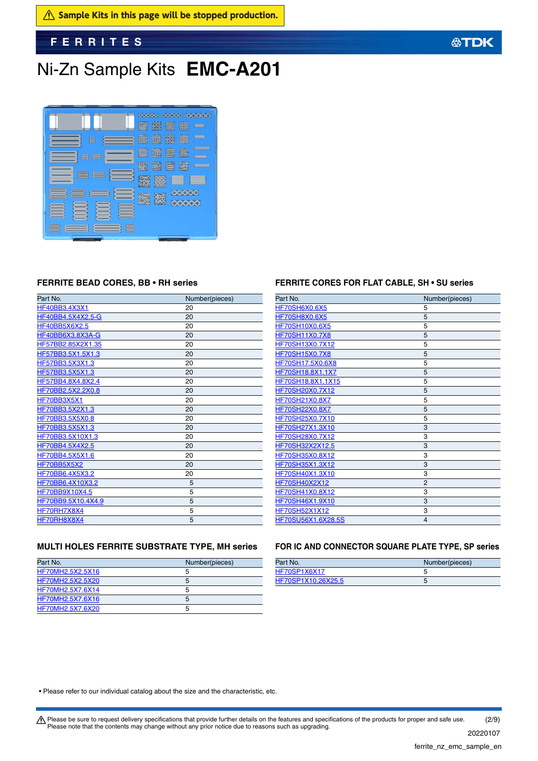# Ni-Zn Sample Kits **EMC-A201**



## **FERRITE BEAD CORES, BB • RH series**

| Part No.             | Number(pieces) |
|----------------------|----------------|
| HF40BB3.4X3X1        | 20             |
| HF40BB4.5X4X2.5-G    | 20             |
| <b>HF40BB5X6X2.5</b> | 20             |
| HF40BB6X3.8X3A-G     | 20             |
| HF57BB2.85X2X1.35    | 20             |
| HF57BB3.5X1.5X1.3    | 20             |
| HF57BB3.5X3X1.3      | 20             |
| HF57BB3.5X5X1.3      | 20             |
| HF57BB4.8X4.8X2.4    | 20             |
| HF70BB2.5X2.2X0.8    | 20             |
| HF70BB3X5X1          | 20             |
| HF70BB3.5X2X1.3      | 20             |
| HF70BB3.5X5X0.8      | 20             |
| HF70BB3.5X5X1.3      | 20             |
| HF70BB3.5X10X1.3     | 20             |
| HF70BB4.5X4X2.5      | 20             |
| HF70BB4.5X5X1.6      | 20             |
| HF70BB5X5X2          | 20             |
| HF70BB6.4X5X3.2      | 20             |
| HF70BB6.4X10X3.2     | 5              |
| HF70BB9X10X4.5       | 5              |
| HF70BB9.5X10.4X4.9   | 5              |
| HF70RH7X8X4          | 5              |
| HF70RH8X8X4          | 5              |

## **FERRITE CORES FOR FLAT CABLE, SH • SU series**

| Part No.              | Number(pieces) |
|-----------------------|----------------|
| <b>HF70SH6X0.6X5</b>  | 5              |
| <b>HF70SH8X0.6X5</b>  | 5              |
| <b>HF70SH10X0.6X5</b> | 5              |
| <b>HF70SH11X0.7X8</b> | 5              |
| HF70SH13X0.7X12       | 5              |
| <b>HF70SH15X0.7X8</b> | 5              |
| HF70SH17.5X0.6X8      | 5              |
| HF70SH18.8X1.1X7      | 5              |
| HF70SH18.8X1.1X15     | 5              |
| HF70SH20X0.7X12       | 5              |
| HF70SH21X0.8X7        | 5              |
| HF70SH22X0.8X7        | 5              |
| HF70SH25X0.7X10       | 5              |
| HF70SH27X1.3X10       | 3              |
| HF70SH28X0.7X12       | 3              |
| HF70SH32X2X12.5       | 3              |
| HF70SH35X0.8X12       | 3              |
| HF70SH35X1.3X12       | 3              |
| HF70SH40X1.3X10       | 3              |
| <b>HF70SH40X2X12</b>  | $\overline{2}$ |
| HF70SH41X0.8X12       | 3              |
| HF70SH46X1.9X10       | 3              |
| HF70SH52X1X12         | 3              |
| HF70SU56X1.6X28.5S    | 4              |
|                       |                |

## **MULTI HOLES FERRITE SUBSTRATE TYPE, MH series**

| Part No.         | Number(pieces) |
|------------------|----------------|
| HF70MH2.5X2.5X16 |                |
| HF70MH2.5X2.5X20 |                |
| HF70MH2.5X7.6X14 |                |
| HF70MH2.5X7.6X16 |                |
| HF70MH2.5X7.6X20 |                |

## **FOR IC AND CONNECTOR SQUARE PLATE TYPE, SP series**

| Part No.           | Number(pieces) |
|--------------------|----------------|
| HF70SP1X6X17       |                |
| HF70SP1X10.26X25.5 |                |

• Please refer to our individual catalog about the size and the characteristic, etc.

Please be sure to request delivery specifications that provide further details on the features and specifications of the products for proper and safe use.<br>Please note that the contents may change without any prior notice d (2/9)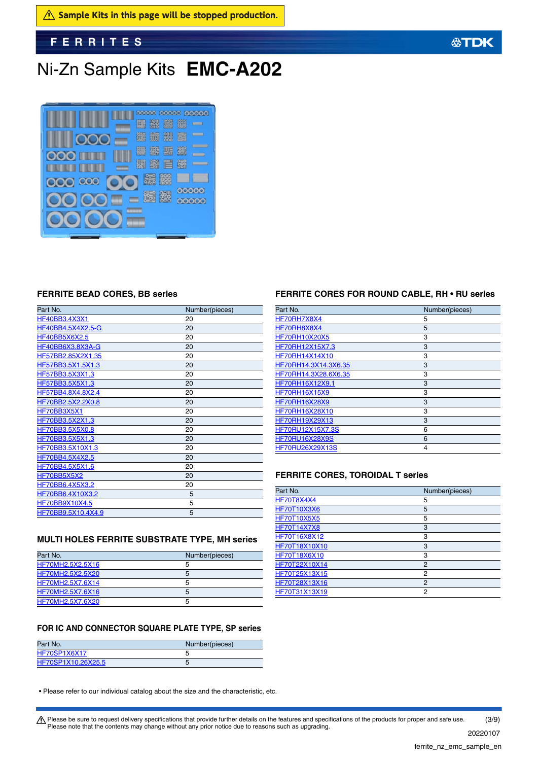# Ni-Zn Sample Kits **EMC-A202**



## **FERRITE BEAD CORES, BB series**

| Part No.             | Number(pieces) |
|----------------------|----------------|
| HF40BB3.4X3X1        | 20             |
| HF40BB4.5X4X2.5-G    | 20             |
| <b>HF40BB5X6X2.5</b> | 20             |
| HF40BB6X3.8X3A-G     | 20             |
| HF57BB2.85X2X1.35    | 20             |
| HF57BB3.5X1.5X1.3    | 20             |
| HF57BB3.5X3X1.3      | 20             |
| HF57BB3.5X5X1.3      | 20             |
| HF57BB4.8X4.8X2.4    | 20             |
| HF70BB2.5X2.2X0.8    | 20             |
| HF70BB3X5X1          | 20             |
| HF70BB3.5X2X1.3      | 20             |
| HF70BB3.5X5X0.8      | 20             |
| HF70BB3.5X5X1.3      | 20             |
| HF70BB3.5X10X1.3     | 20             |
| HF70BB4.5X4X2.5      | 20             |
| HF70BB4.5X5X1.6      | 20             |
| HF70BB5X5X2          | 20             |
| HF70BB6.4X5X3.2      | 20             |
| HF70BB6.4X10X3.2     | 5              |
| HF70BB9X10X4.5       | 5              |
| HF70BB9.5X10.4X4.9   | 5              |

## **MULTI HOLES FERRITE SUBSTRATE TYPE, MH series**

| Part No.         | Number(pieces) |
|------------------|----------------|
| HF70MH2.5X2.5X16 |                |
| HF70MH2.5X2.5X20 |                |
| HF70MH2.5X7.6X14 |                |
| HF70MH2.5X7.6X16 | ٠h             |
| HF70MH2.5X7.6X20 |                |

## **FERRITE CORES FOR ROUND CABLE, RH • RU series**

**公TDK** 

| Part No.               | Number(pieces) |
|------------------------|----------------|
| HF70RH7X8X4            | 5              |
| HF70RH8X8X4            | 5              |
| <b>HF70RH10X20X5</b>   | 3              |
| HF70RH12X15X7.3        | 3              |
| HF70RH14X14X10         | 3              |
| HF70RH14.3X14.3X6.35   | 3              |
| HF70RH14.3X28.6X6.35   | 3              |
| HF70RH16X12X9.1        | 3              |
| <b>HF70RH16X15X9</b>   | 3              |
| <b>HF70RH16X28X9</b>   | 3              |
| HF70RH16X28X10         | 3              |
| <b>HF70RH19X29X13</b>  | 3              |
| HF70RU12X15X7.3S       | 6              |
| <b>HF70RU16X28X9S</b>  | 6              |
| <b>HF70RU26X29X13S</b> | 4              |

## **FERRITE CORES, TOROIDAL T series**

| Part No.            | Number(pieces) |
|---------------------|----------------|
| <b>HF70T8X4X4</b>   | 5              |
| <b>HF70T10X3X6</b>  | 5              |
| <b>HF70T10X5X5</b>  | 5              |
| <b>HF70T14X7X8</b>  | 3              |
| <b>HF70T16X8X12</b> | 3              |
| HF70T18X10X10       | 3              |
| HF70T18X6X10        | 3              |
| HF70T22X10X14       | 2              |
| HF70T25X13X15       | 2              |
| HF70T28X13X16       | 2              |
| HF70T31X13X19       | 2              |

## **FOR IC AND CONNECTOR SQUARE PLATE TYPE, SP series**

| Part No.           | Number(pieces) |
|--------------------|----------------|
| HF70SP1X6X17       |                |
| HF70SP1X10.26X25.5 |                |

• Please refer to our individual catalog about the size and the characteristic, etc.

Please be sure to request delivery specifications that provide further details on the features and specifications of the products for proper and safe use.<br>Please note that the contents may change without any prior notice d (3/9)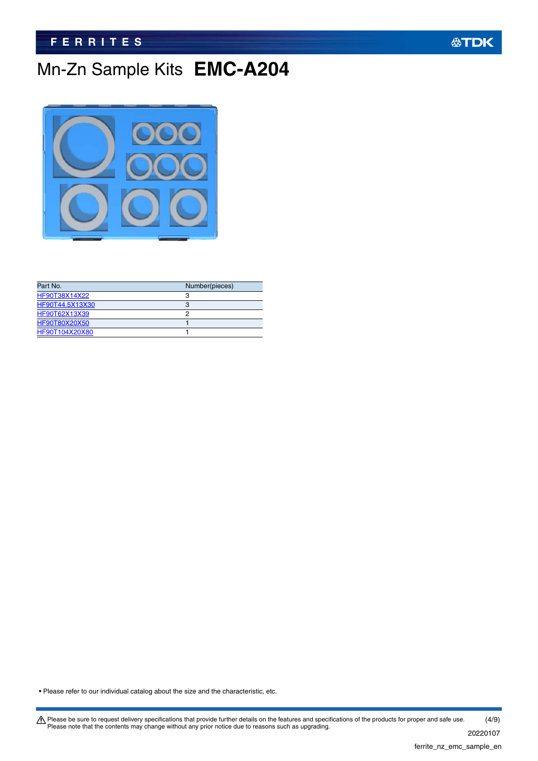# Mn-Zn Sample Kits **EMC-A204**



| Part No.        | Number(pieces) |
|-----------------|----------------|
| HF90T38X14X22   |                |
| HF90T44.5X13X30 |                |
| HF90T62X13X39   |                |
| HF90T80X20X50   |                |
| HF90T104X20X80  |                |

• Please refer to our individual catalog about the size and the characteristic, etc.

Please be sure to request delivery specifications that provide further details on the features and specifications of the products for proper and safe use.<br>Please note that the contents may change without any prior notice d (4/9)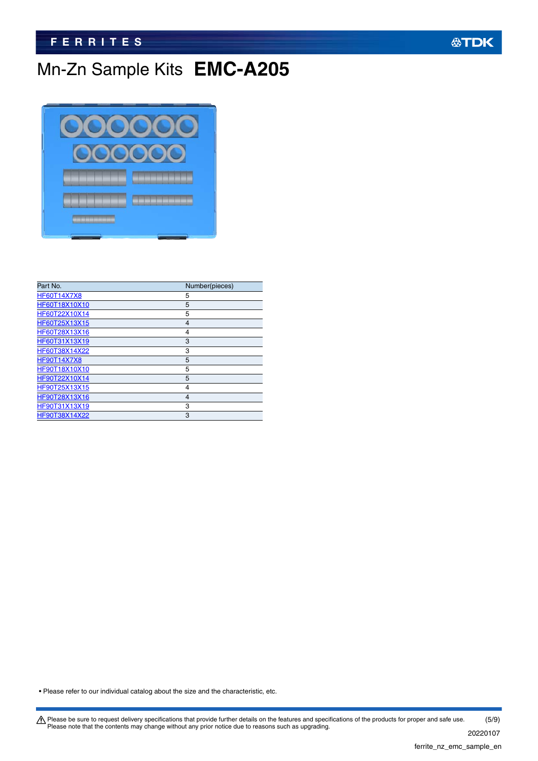# Mn-Zn Sample Kits **EMC-A205**



| Part No.           | Number(pieces) |
|--------------------|----------------|
| <b>HF60T14X7X8</b> | 5              |
| HF60T18X10X10      | 5              |
| HF60T22X10X14      | 5              |
| HF60T25X13X15      | $\overline{4}$ |
| HF60T28X13X16      | 4              |
| HF60T31X13X19      | 3              |
| HF60T38X14X22      | 3              |
| <b>HF90T14X7X8</b> | 5              |
| HF90T18X10X10      | 5              |
| HF90T22X10X14      | 5              |
| HF90T25X13X15      | 4              |
| HF90T28X13X16      | 4              |
| HF90T31X13X19      | 3              |
| HF90T38X14X22      | 3              |

• Please refer to our individual catalog about the size and the characteristic, etc.

Please be sure to request delivery specifications that provide further details on the features and specifications of the products for proper and safe use.<br>Please note that the contents may change without any prior notice d 20220107 (5/9)

**公TDK**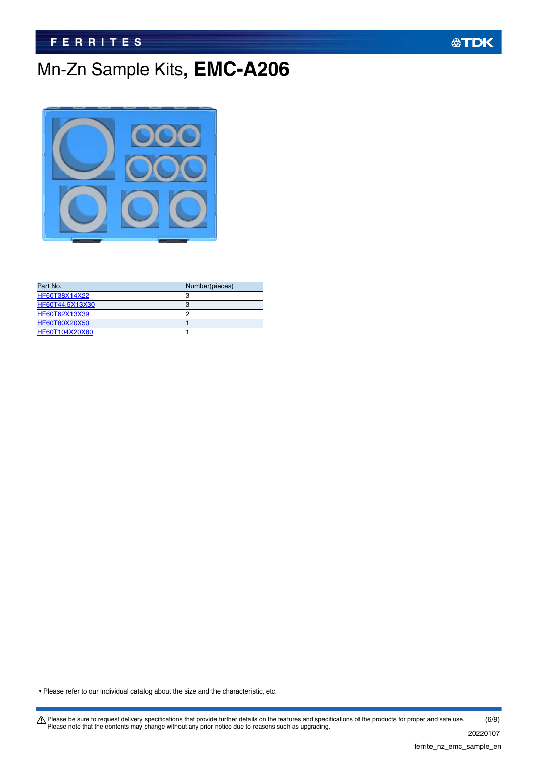# Mn-Zn Sample Kits**, EMC-A206**



| Number(pieces) |
|----------------|
| ຊ              |
|                |
|                |
|                |
|                |
|                |

• Please refer to our individual catalog about the size and the characteristic, etc.

Please be sure to request delivery specifications that provide further details on the features and specifications of the products for proper and safe use.<br>Please note that the contents may change without any prior notice d 20220107 (6/9)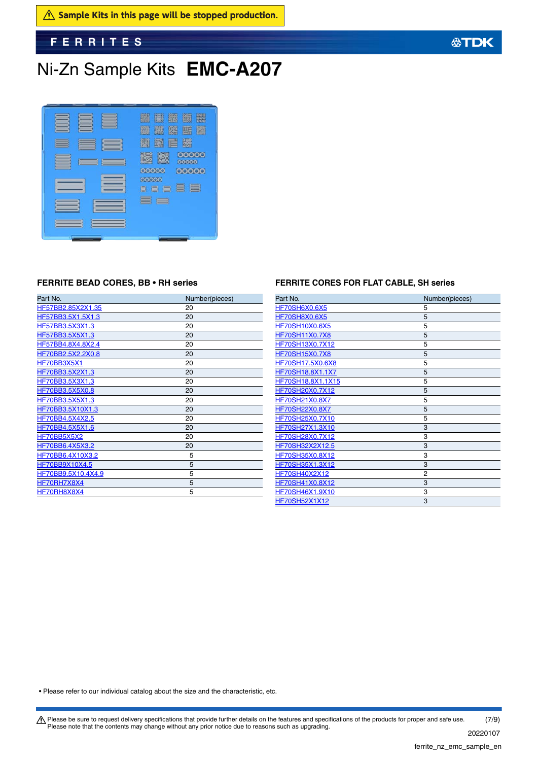$\hat{A}$  Sample Kits in this page will be stopped production.

**FERRITES**

# Ni-Zn Sample Kits **EMC-A207**



| HF57BB2.85X2X1.35<br>20<br>HF57BB3.5X1.5X1.3<br>20 |  |
|----------------------------------------------------|--|
|                                                    |  |
|                                                    |  |
| HF57BB3.5X3X1.3<br>20                              |  |
| HF57BB3.5X5X1.3<br>20                              |  |
| HF57BB4.8X4.8X2.4<br>20                            |  |
| HF70BB2.5X2.2X0.8<br>20                            |  |
| HF70BB3X5X1<br>20                                  |  |
| HF70BB3.5X2X1.3<br>20                              |  |
| HF70BB3.5X3X1.3<br>20                              |  |
| HF70BB3.5X5X0.8<br>20                              |  |
| HF70BB3.5X5X1.3<br>20                              |  |
| HF70BB3.5X10X1.3<br>20                             |  |
| HF70BB4.5X4X2.5<br>20                              |  |
| HF70BB4.5X5X1.6<br>20                              |  |
| HF70BB5X5X2<br>20                                  |  |
| HF70BB6.4X5X3.2<br>20                              |  |
| HF70BB6.4X10X3.2<br>5                              |  |
| HF70BB9X10X4.5<br>5                                |  |
| HF70BB9.5X10.4X4.9<br>5                            |  |
| HF70RH7X8X4<br>5                                   |  |
| HF70RH8X8X4<br>5                                   |  |

# **FERRITE BEAD CORES, BB • RH series FERRITE CORES FOR FLAT CABLE, SH series**

| Part No.              | Number(pieces) |
|-----------------------|----------------|
| <b>HF70SH6X0.6X5</b>  | 5              |
| <b>HF70SH8X0.6X5</b>  | 5              |
| HF70SH10X0.6X5        | 5              |
| <b>HF70SH11X0.7X8</b> | 5              |
| HF70SH13X0.7X12       | 5              |
| HF70SH15X0.7X8        | 5              |
| HF70SH17.5X0.6X8      | 5              |
| HF70SH18.8X1.1X7      | 5              |
| HF70SH18.8X1.1X15     | 5              |
| HF70SH20X0.7X12       | 5              |
| HF70SH21X0.8X7        | 5              |
| HF70SH22X0.8X7        | 5              |
| HF70SH25X0.7X10       | 5              |
| HF70SH27X1.3X10       | 3              |
| HF70SH28X0.7X12       | 3              |
| HF70SH32X2X12.5       | 3              |
| HF70SH35X0.8X12       | 3              |
| HF70SH35X1.3X12       | 3              |
| HF70SH40X2X12         | $\overline{2}$ |
| HF70SH41X0.8X12       | 3              |
| HF70SH46X1.9X10       | 3              |
| <b>HF70SH52X1X12</b>  | 3              |

• Please refer to our individual catalog about the size and the characteristic, etc.

Please be sure to request delivery specifications that provide further details on the features and specifications of the products for proper and safe use.<br>Please note that the contents may change without any prior notice d 20220107 (7/9)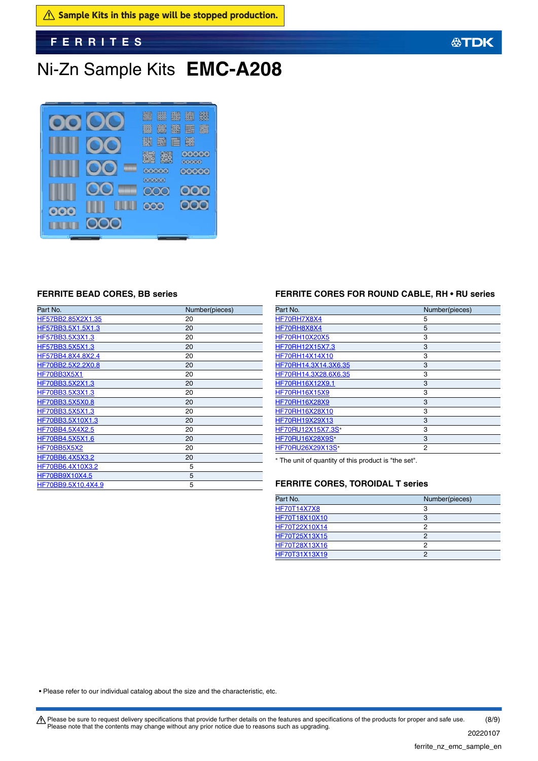$\hat{A}$  Sample Kits in this page will be stopped production.

**FERRITES**

# Ni-Zn Sample Kits **EMC-A208**



| Part No.           | Number(pieces) |
|--------------------|----------------|
| HF57BB2.85X2X1.35  | 20             |
| HF57BB3.5X1.5X1.3  | 20             |
| HF57BB3.5X3X1.3    | 20             |
| HF57BB3.5X5X1.3    | 20             |
| HF57BB4.8X4.8X2.4  | 20             |
| HF70BB2.5X2.2X0.8  | 20             |
| HF70BB3X5X1        | 20             |
| HF70BB3.5X2X1.3    | 20             |
| HF70BB3.5X3X1.3    | 20             |
| HF70BB3.5X5X0.8    | 20             |
| HF70BB3.5X5X1.3    | 20             |
| HF70BB3.5X10X1.3   | 20             |
| HF70BB4.5X4X2.5    | 20             |
| HF70BB4.5X5X1.6    | 20             |
| HF70BB5X5X2        | 20             |
| HF70BB6.4X5X3.2    | 20             |
| HF70BB6.4X10X3.2   | 5              |
| HF70BB9X10X4.5     | 5              |
| HF70BB9.5X10.4X4.9 | 5              |

## **FERRITE BEAD CORES, BB series FERRITE CORES FOR ROUND CABLE, RH • RU series**

| Part No.               | Number(pieces) |
|------------------------|----------------|
| HF70RH7X8X4            | 5              |
| HF70RH8X8X4            | 5              |
| <b>HF70RH10X20X5</b>   | 3              |
| HF70RH12X15X7.3        | 3              |
| HF70RH14X14X10         | 3              |
| HF70RH14.3X14.3X6.35   | 3              |
| HF70RH14.3X28.6X6.35   | 3              |
| HF70RH16X12X9.1        | 3              |
| <b>HF70RH16X15X9</b>   | 3              |
| <b>HF70RH16X28X9</b>   | 3              |
| HF70RH16X28X10         | 3              |
| <b>HF70RH19X29X13</b>  | 3              |
| HF70RU12X15X7.3S*      | 3              |
| <b>HF70RU16X28X9S*</b> | 3              |
| HF70RU26X29X13S*       | 2              |

The unit of quantity of this product is "the set".

## **FERRITE CORES, TOROIDAL T series**

| Part No.           | Number(pieces) |
|--------------------|----------------|
| <b>HF70T14X7X8</b> | 3              |
| HF70T18X10X10      | 3              |
| HF70T22X10X14      | ŋ              |
| HF70T25X13X15      |                |
| HF70T28X13X16      | 2              |
| HF70T31X13X19      | ∩              |

• Please refer to our individual catalog about the size and the characteristic, etc.

Please be sure to request delivery specifications that provide further details on the features and specifications of the products for proper and safe use.<br>Please note that the contents may change without any prior notice d (8/9)